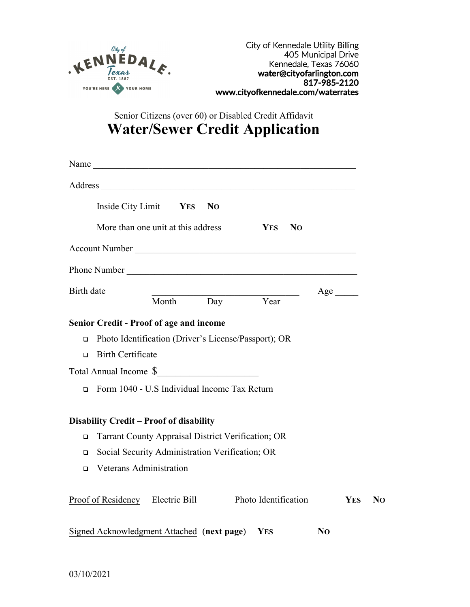

Senior Citizens (over 60) or Disabled Credit Affidavit **Water/Sewer Credit Application**

|            | Name                                                                   |           |                |            |                              |                           |            |    |
|------------|------------------------------------------------------------------------|-----------|----------------|------------|------------------------------|---------------------------|------------|----|
|            |                                                                        |           |                |            |                              |                           |            |    |
|            | Inside City Limit YES                                                  |           | N <sub>O</sub> |            |                              |                           |            |    |
|            | More than one unit at this address                                     |           |                |            | N <sub>O</sub><br><b>YES</b> |                           |            |    |
|            | Account Number                                                         |           |                |            |                              |                           |            |    |
|            |                                                                        |           |                |            |                              |                           |            |    |
| Birth date |                                                                        | Month Day |                |            | Year                         | $Age$ <sub>________</sub> |            |    |
|            | <b>Senior Credit - Proof of age and income</b>                         |           |                |            |                              |                           |            |    |
| $\Box$     | Photo Identification (Driver's License/Passport); OR                   |           |                |            |                              |                           |            |    |
| $\Box$     | <b>Birth Certificate</b>                                               |           |                |            |                              |                           |            |    |
| $\Box$     | Total Annual Income \$<br>Form 1040 - U.S Individual Income Tax Return |           |                |            |                              |                           |            |    |
|            | <b>Disability Credit - Proof of disability</b>                         |           |                |            |                              |                           |            |    |
| $\Box$     | Tarrant County Appraisal District Verification; OR                     |           |                |            |                              |                           |            |    |
| $\Box$     | Social Security Administration Verification; OR                        |           |                |            |                              |                           |            |    |
| $\Box$     | <b>Veterans Administration</b>                                         |           |                |            |                              |                           |            |    |
|            | Proof of Residency Electric Bill                                       |           |                |            | Photo Identification         |                           | <b>YES</b> | N0 |
|            | Signed Acknowledgment Attached (next page)                             |           |                | <b>YES</b> |                              | N <sub>O</sub>            |            |    |